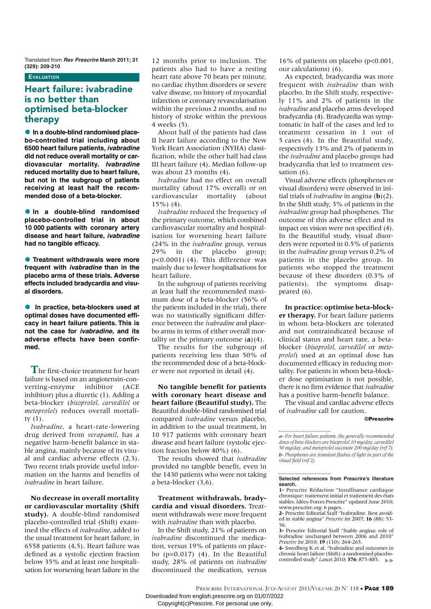Translated from **Rev Prescrire March 2011; 31 (329): 209-210**

## **EVALUATION**

# **Heart failure: ivabradine is no better than optimised beta-blocker therapy**

**• In a double-blind randomised placebo-controlled trial including about 6500 heart failure patients, ivabradine did not reduce overall mortality or cardiovascular mortality. Ivabradine reduced mortality due to heart failure, but not in the subgroup of patients receiving at least half the recommended dose of a beta-blocker.**

**In a double-blind randomised placebo-controlled trial in about 10 000 patients with coronary artery disease and heart failure, ivabradine had no tangible efficacy.**

**• Treatment withdrawals were more frequent with ivabradine than in the placebo arms of these trials. Adverse effects included bradycardia and visual disorders.**

- **In practice, beta-blockers used at optimal doses have documented efficacy in heart failure patients. This is not the case for ivabradine, and its adverse effects have been confirmed.**

**T**he first-choice treatment for heart failure is based on an angiotensin-converting-enzyme inhibitor (ACE inhibitor) plus a diuretic (1). Adding a beta-blocker (*bisoprolol, carvedilol* or *metoprolol*) reduces overall mortality (1).

*Ivabradine*, a heart-rate-lowering drug derived from *verapamil*, has a negative harm-benefit balance in stable angina, mainly because of its visual and cardiac adverse effects (2,3). Two recent trials provide useful information on the harms and benefits of *ivabradine* in heart failure.

**No decrease in overall mortality or cardiovascular mortality (Shift study).** A double-blind randomised placebo-controlled trial (Shift) examined the effects of *ivabradine*, added to the usual treatment for heart failure, in 6558 patients (4,5). Heart failure was defined as a systolic ejection fraction below 35% and at least one hospitalisation for worsening heart failure in the

12 months prior to inclusion. The patients also had to have a resting heart rate above 70 beats per minute, no cardiac rhythm disorders or severe valve disease, no history of myocardial infarction or coronary revascularisation within the previous 2 months, and no history of stroke within the previous 4 weeks (5).

About half of the patients had class II heart failure according to the New York Heart Association (NYHA) classification, while the other half had class III heart failure (4). Median follow-up was about 23 months (4).

*Ivabradine* had no effect on overall mortality (about 17% overall) or on cardiovascular mortality (about 15%) (4).

*Ivabradine* reduced the frequency of the primary outcome, which combined cardiovascular mortality and hospitalisation for worsening heart failure (24% in the *ivabradine* group, versus 29% in the placebo group; p<0.0001) (4). This difference was mainly due to fewer hospitalisations for heart failure.

In the subgroup of patients receiving at least half the recommended maximum dose of a beta-blocker (56% of the patients included in the trial), there was no statistically significant difference between the *ivabradine* and placebo arms in terms of either overall mortality or the primary outcome  $(a)(4)$ .

The results for the subgroup of patients receiving less than 50% of the recommended dose of a beta-blocker were not reported in detail (4).

**No tangible benefit for patients with coronary heart disease and heart failure (Beautiful study).** The Beautiful double-blind randomised trial compared *ivabradine* versus placebo, in addition to the usual treatment, in 10 917 patients with coronary heart disease and heart failure (systolic ejection fraction below 40%) (6).

The results showed that *ivabradine* provided no tangible benefit, even in the 1430 patients who were not taking a beta-blocker (3,6).

**Treatment withdrawals, bradycardia and visual disorders.** Treatment withdrawals were more frequent with *ivabradine* than with placebo.

In the Shift study, 21% of patients on *ivabradine* discontinued the medication, versus 19% of patients on placebo  $(p=0.017)$  (4). In the Beautiful study, 28% of patients on *ivabradine* discontinued the medication, versus

16% of patients on placebo (p<0.001, our calculations) (6).

As expected, bradycardia was more frequent with *ivabradine* than with placebo. In the Shift study, respectively 11% and 2% of patients in the *ivabradine* and placebo arms developed bradycardia (4). Bradycardia was symptomatic in half of the cases and led to treatment cessation in 1 out of 5 cases (4). In the Beautiful study, respectively 13% and 2% of patients in the *ivabradine* and placebo groups had bradycardia that led to treatment cessation (6).

Visual adverse effects (phosphenes or visual disorders) were observed in initial trials of *ivabradine* in angina (**b**)(2). In the Shift study, 3% of patients in the *ivabradine* group had phosphenes. The outcome of this adverse effect and its impact on vision were not specified (4). In the Beautiful study, visual disorders were reported in 0.5% of patients in the *ivabradine* group versus 0.2% of patients in the placebo group. In patients who stopped the treatment because of these disorders (0.3% of patients), the symptoms disappeared (6).

**In practice: optimise beta-blocker therapy.** For heart failure patients in whom beta-blockers are tolerated and not contraindicated because of clinical status and heart rate, a betablocker (*bisoprolol, carvedilol* or *metoprolol*) used at an optimal dose has documented efficacy in reducing mortality. For patients in whom beta-blocker dose optimisation is not possible, there is no firm evidence that *ivabradine* has a positive harm-benefit balance.

The visual and cardiac adverse effects of *ivabradine* call for caution.

©Prescrire

#### **Selected references from Prescrire's literature search.**

**1-** Prescrire Rédaction "Insuffisance cardiaque chronique: traitement initial et traitement des états stables. Idées-Forces Prescrire" updated June 2010; www.prescrire.org: 6 pages.

**2-** Prescrire Editorial Staff "Ivabradine. Best avoided in stable angina" *Prescrire Int* 2007; **16** (88): 53- 56.

**3-** Prescrire Editorial Staff "Stable angina: role of ivabradine unchanged between 2006 and 2010" *Prescrire Int* 2010; **19** (110): 264-265.

**4-** Swedberg K et al. "Ivabradine and outcomes in chronic heart failure (Shift): a randomised placebocontrolled study" *Lancet* 2010; **376**: 875-885.

PRESCRIRE INTERNATIONAL JULY-AUGUST 2011/VOLUME 20 N° 118 • PAGE 189 Downloaded from english.prescrire.org on 01/07/2022

*a- For heart failure patients, the generally recommended doses of beta-blockers are bisoprolol 10 mg/day, carvedilol 50 mg/day, and metoprolol succinate 200 mg/day (ref 7). b- Phosphenes are transient flashes of light in part of the visual field (ref 2).*